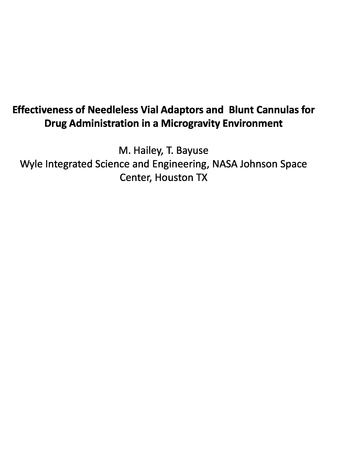## **Effectiveness of Needleless Vial Adaptors and Blunt Cannulas for Drug Administration in a Microgravity Environment**

M. Hailey, T. Bayuse Wyle Integrated Science and Engineering, NASA Johnson Space Center, Houston TX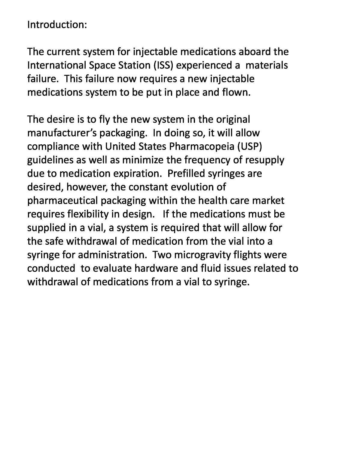Introduction:

The current system for injectable medications aboard the International Space Station (ISS) experienced a materials failure. This failure now requires a new injectable medications system to be put in place and flown.

The desire is to fly the new system in the original manufacturer's packaging. In doing so, it will allow compliance with United States Pharmacopeia (USP) guidelines as well as minimize the frequency of resupply due to medication expiration. Prefilled syringes are desired, however, the constant evolution of pharmaceutical packaging within the health care market requires flexibility in design. If the medications must be supplied in a vial, a system is required that will allow for the safe withdrawal of medication from the vial into a syringe for administration. Two microgravity flights were conducted to evaluate hardware and fluid issues related to withdrawal of medications from a vial to syringe.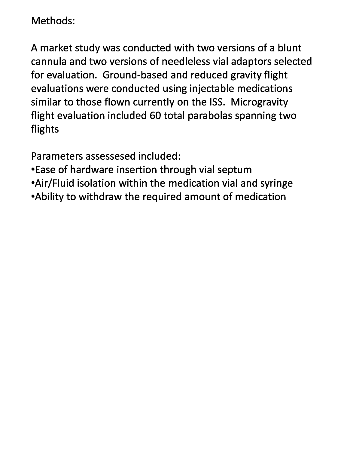Methods:

A market study was conducted with two versions of a blunt cannula and two versions of needleless vial adaptors selected for evaluation. Ground-based and reduced gravity flight evaluations were conducted using injectable medications similar to those flown currently on the ISS. Microgravity flight evaluation included 60 total parabolas spanning two flights

Parameters assessesed included:

- Ease of hardware insertion through vial septum
- •Air/Fluid isolation within the medication vial and syringe
- •Ability to withdraw the required amount of medication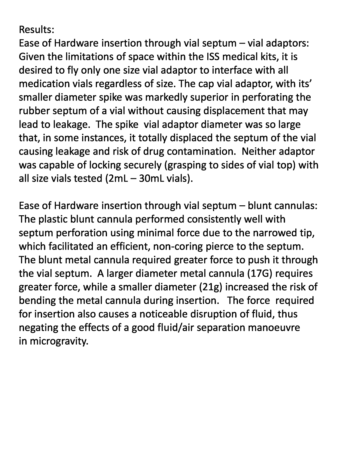Ease of Hardware insertion through vial septum  $-$  vial adaptors: Given the limitations of space within the ISS medical kits, it is desired to fly only one size vial adaptor to interface with all medication vials regardless of size. The cap vial adaptor, with its' smaller diameter spike was markedly superior in perforating the rubber septum of a vial without causing displacement that may lead to leakage. The spike vial adaptor diameter was so large that, in some instances, it totally displaced the septum of the vial causing leakage and risk of drug contamination. Neither adaptor was capable of locking securely (grasping to sides of vial top) with all size vials tested (2mL – 30mL vials).

Ease of Hardware insertion through vial septum – blunt cannulas: The plastic blunt cannula performed consistently well with septum perforation using minimal force due to the narrowed tip, which facilitated an efficient, non-coring pierce to the septum. The blunt metal cannula required greater force to push it through the vial septum. A larger diameter metal cannula (17G) requires greater force, while a smaller diameter (21g) increased the risk of bending the metal cannula during insertion. The force required for insertion also causes a noticeable disruption of fluid, thus negating the effects of a good fluid/air separation manoeuvre in microgravity.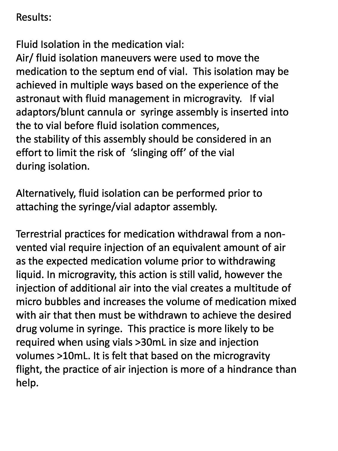Fluid Isolation in the medication vial:

Air/ fluid isolation maneuvers were used to move the medication to the septum end of vial. This isolation may be achieved in multiple ways based on the experience of the astronaut with fluid management in microgravity. If vial adaptors/blunt cannula or syringe assembly is inserted into the to vial before fluid isolation commences, the stability of this assembly should be considered in an effort to limit the risk of 'slinging off' of the vial during isolation.

Alternatively, fluid isolation can be performed prior to attaching the syringe/vial adaptor assembly.

Terrestrial practices for medication withdrawal from a nonvented vial require injection of an equivalent amount of air as the expected medication volume prior to withdrawing liquid. In microgravity, this action is still valid, however the injection of additional air into the vial creates a multitude of micro bubbles and increases the volume of medication mixed with air that then must be withdrawn to achieve the desired drug volume in syringe. This practice is more likely to be required when using vials >30mL in size and injection volumes >10mL. It is felt that based on the microgravity flight, the practice of air injection is more of a hindrance than help.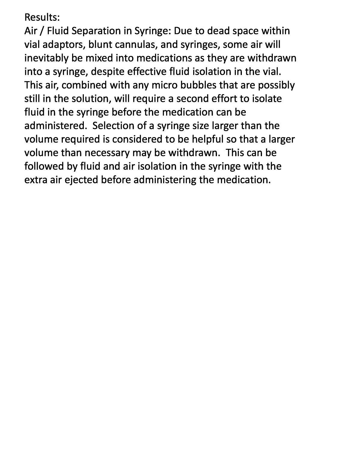Air / Fluid Separation in Syringe: Due to dead space within vial adaptors, blunt cannulas, and syringes, some air will inevitably be mixed into medications as they are withdrawn into a syringe, despite effective fluid isolation in the vial. This air, combined with any micro bubbles that are possibly still in the solution, will require a second effort to isolate fluid in the syringe before the medication can be administered. Selection of a syringe size larger than the volume required is considered to be helpful so that a larger volume than necessary may be withdrawn. This can be followed by fluid and air isolation in the syringe with the extra air ejected before administering the medication.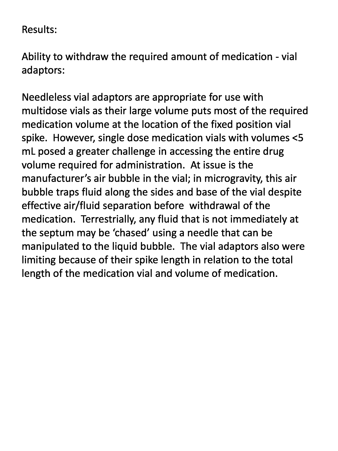Ability to withdraw the required amount of medication - vial adaptors:

Needleless vial adaptors are appropriate for use with multidose vials as their large volume puts most of the required medication volume at the location of the fixed position vial spike. However, single dose medication vials with volumes <5 mL posed a greater challenge in accessing the entire drug volume required for administration. At issue is the manufacturer's air bubble in the vial; in microgravity, this air bubble traps fluid along the sides and base of the vial despite effective air/fluid separation before withdrawal of the medication. Terrestrially, any fluid that is not immediately at the septum may be 'chased' using a needle that can be manipulated to the liquid bubble. The vial adaptors also were limiting because of their spike length in relation to the total length of the medication vial and volume of medication.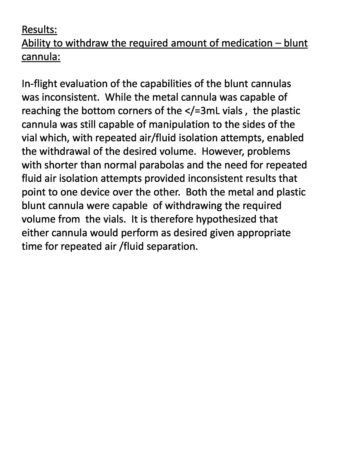## Ability to withdraw the required amount of medication — blunt cannula:

In-flight evaluation of the capabilities of the blunt cannulas was inconsistent. While the metal cannula was capable of reaching the bottom corners of the </=3mL vials , the plastic cannula was still capable of manipulation to the sides of the vial which, with repeated air/fluid isolation attempts, enabled the withdrawal of the desired volume. However, problems with shorter than normal parabolas and the need for repeated fluid air isolation attempts provided inconsistent results that point to one device over the other. Both the metal and plastic blunt cannula were capable of withdrawing the required volume from the vials. It is therefore hypothesized that either cannula would perform as desired given appropriate time for repeated air /fluid separation.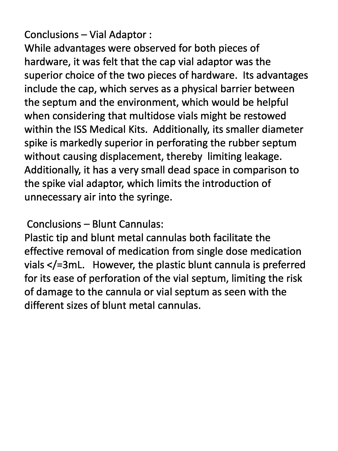Conclusions — Vial Adaptor :

While advantages were observed for both pieces of hardware, it was felt that the cap vial adaptor was the superior choice of the two pieces of hardware. Its advantages include the cap, which serves as a physical barrier between the septum and the environment, which would be helpful when considering that multidose vials might be restowed within the ISS Medical Kits. Additionally, its smaller diameter spike is markedly superior in perforating the rubber septum without causing displacement, thereby limiting leakage. Additionally, it has a very small dead space in comparison to the spike vial adaptor, which limits the introduction of unnecessary air into the syringe.

Conclusions — Blunt Cannulas:

Plastic tip and blunt metal cannulas both facilitate the effective removal of medication from single dose medication vials </=3mL. However, the plastic blunt cannula is preferred for its ease of perforation of the vial septum, limiting the risk of damage to the cannula or vial septum as seen with the different sizes of blunt metal cannulas.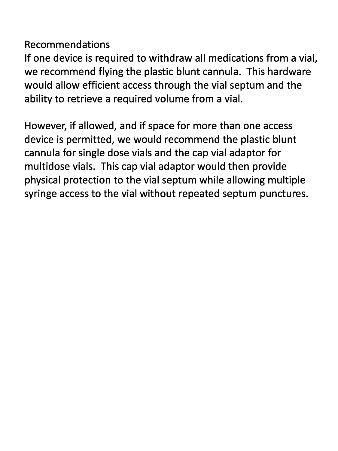## Recommendations

If one device is required to withdraw all medications from a vial, we recommend flying the plastic blunt cannula. This hardware would allow efficient access through the vial septum and the ability to retrieve a required volume from a vial.

However, if allowed, and if space for more than one access device is permitted, we would recommend the plastic blunt cannula for single dose vials and the cap vial adaptor for multidose vials. This cap vial adaptor would then provide physical protection to the vial septum while allowing multiple syringe access to the vial without repeated septum punctures.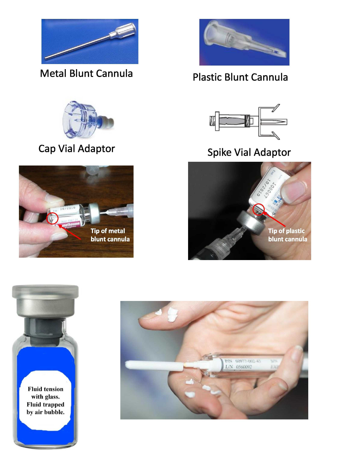

## Metal Blunt Cannula Plastic Blunt Cannula









# Cap Vial Adaptor Spike Vial Adaptor